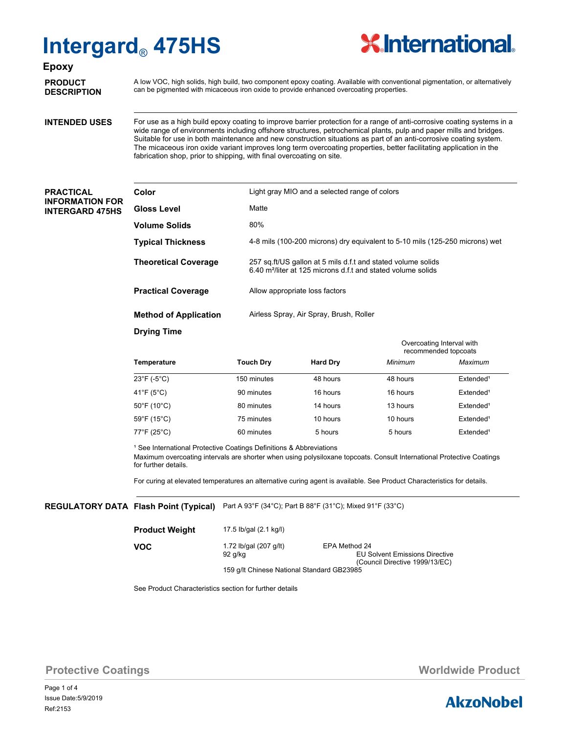

### **Epoxy**

**PRODUCT DESCRIPTION** A low VOC, high solids, high build, two component epoxy coating. Available with conventional pigmentation, or alternatively can be pigmented with micaceous iron oxide to provide enhanced overcoating properties.

### **INTENDED USES**

For use as a high build epoxy coating to improve barrier protection for a range of anti-corrosive coating systems in a wide range of environments including offshore structures, petrochemical plants, pulp and paper mills and bridges. Suitable for use in both maintenance and new construction situations as part of an anti-corrosive coating system. The micaceous iron oxide variant improves long term overcoating properties, better facilitating application in the fabrication shop, prior to shipping, with final overcoating on site.

### **PRACTICAL INFORMATION FOR INTERGARD 475HS**

| Color                        | Light gray MIO and a selected range of colors                                                                                            |  |  |
|------------------------------|------------------------------------------------------------------------------------------------------------------------------------------|--|--|
| <b>Gloss Level</b>           | Matte                                                                                                                                    |  |  |
| <b>Volume Solids</b>         | 80%                                                                                                                                      |  |  |
| <b>Typical Thickness</b>     | 4-8 mils (100-200 microns) dry equivalent to 5-10 mils (125-250 microns) wet                                                             |  |  |
| <b>Theoretical Coverage</b>  | 257 sq.ft/US gallon at 5 mils d.f.t and stated volume solids<br>6.40 m <sup>2</sup> /liter at 125 microns d.f.t and stated volume solids |  |  |
| <b>Practical Coverage</b>    | Allow appropriate loss factors                                                                                                           |  |  |
| <b>Method of Application</b> | Airless Spray, Air Spray, Brush, Roller                                                                                                  |  |  |
| <b>Drying Time</b>           |                                                                                                                                          |  |  |
|                              | Overcoating Interval with                                                                                                                |  |  |

|                                  |                  |                 |          | recommended topcoats  |  |  |
|----------------------------------|------------------|-----------------|----------|-----------------------|--|--|
| Temperature                      | <b>Touch Dry</b> | <b>Hard Dry</b> | Minimum  | Maximum               |  |  |
| $23^{\circ}$ F (-5 $^{\circ}$ C) | 150 minutes      | 48 hours        | 48 hours | Extended <sup>1</sup> |  |  |
| 41°F (5°C)                       | 90 minutes       | 16 hours        | 16 hours | Extended <sup>1</sup> |  |  |
| $50^{\circ}$ F (10 $^{\circ}$ C) | 80 minutes       | 14 hours        | 13 hours | Extended <sup>1</sup> |  |  |
| 59°F (15°C)                      | 75 minutes       | 10 hours        | 10 hours | Extended <sup>1</sup> |  |  |
| 77°F (25°C)                      | 60 minutes       | 5 hours         | 5 hours  | Extended <sup>1</sup> |  |  |

<sup>1</sup> See International Protective Coatings Definitions & Abbreviations

Maximum overcoating intervals are shorter when using polysiloxane topcoats. Consult International Protective Coatings for further details.

For curing at elevated temperatures an alternative curing agent is available. See Product Characteristics for details.

#### $\bf{REGULATORY DATA}$  **Flash Point (Typical)** Part A 93°F (34°C); Part B 88°F (31°C); Mixed 91°F (33°C)

| <b>Product Weight</b> | 17.5 lb/gal (2.1 kg/l)                     |                                                                                          |  |  |
|-----------------------|--------------------------------------------|------------------------------------------------------------------------------------------|--|--|
| <b>VOC</b>            | 1.72 lb/gal (207 g/lt)<br>92 g/kg          | EPA Method 24<br><b>EU Solvent Emissions Directive</b><br>(Council Directive 1999/13/EC) |  |  |
|                       | 159 g/lt Chinese National Standard GB23985 |                                                                                          |  |  |

See Product Characteristics section for further details

**Protective Coatings Music Coatings** *Worldwide Product* 

Page 1 of 4 Ref:2153 Issue Date:5/9/2019

# **AkzoNobel**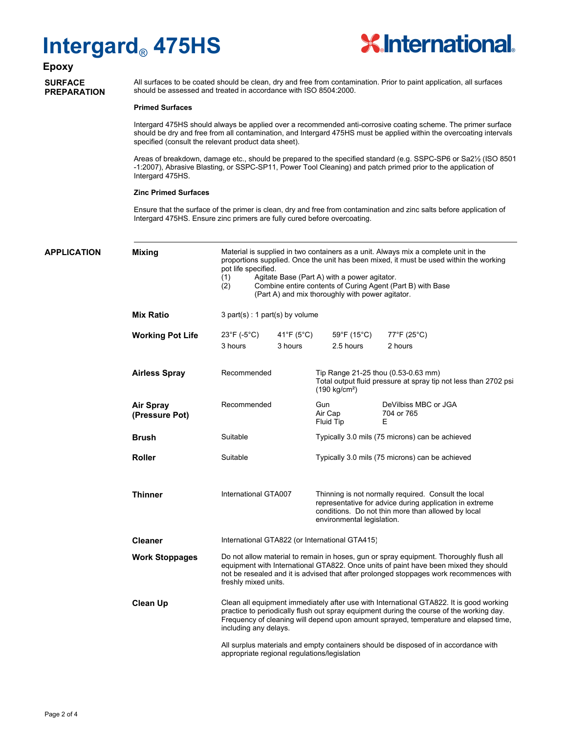

# **Epoxy**

### **SURFACE PREPARATION**

All surfaces to be coated should be clean, dry and free from contamination. Prior to paint application, all surfaces should be assessed and treated in accordance with ISO 8504:2000.

#### **Primed Surfaces**

Intergard 475HS should always be applied over a recommended anti-corrosive coating scheme. The primer surface should be dry and free from all contamination, and Intergard 475HS must be applied within the overcoating intervals specified (consult the relevant product data sheet).

Areas of breakdown, damage etc., should be prepared to the specified standard (e.g. SSPC-SP6 or Sa2½ (ISO 8501 -1:2007), Abrasive Blasting, or SSPC-SP11, Power Tool Cleaning) and patch primed prior to the application of Intergard 475HS.

#### **Zinc Primed Surfaces**

Ensure that the surface of the primer is clean, dry and free from contamination and zinc salts before application of Intergard 475HS. Ensure zinc primers are fully cured before overcoating.

| APPLICATION | <b>Mixing</b>                      | Material is supplied in two containers as a unit. Always mix a complete unit in the<br>proportions supplied. Once the unit has been mixed, it must be used within the working<br>pot life specified.<br>(1)<br>Agitate Base (Part A) with a power agitator.<br>Combine entire contents of Curing Agent (Part B) with Base<br>(2)<br>(Part A) and mix thoroughly with power agitator.                                                                                                                                                                                                                     |                       |                                                                                                                                                                                                     |                                                                                                        |  |
|-------------|------------------------------------|----------------------------------------------------------------------------------------------------------------------------------------------------------------------------------------------------------------------------------------------------------------------------------------------------------------------------------------------------------------------------------------------------------------------------------------------------------------------------------------------------------------------------------------------------------------------------------------------------------|-----------------------|-----------------------------------------------------------------------------------------------------------------------------------------------------------------------------------------------------|--------------------------------------------------------------------------------------------------------|--|
|             | <b>Mix Ratio</b>                   | $3$ part(s) : 1 part(s) by volume                                                                                                                                                                                                                                                                                                                                                                                                                                                                                                                                                                        |                       |                                                                                                                                                                                                     |                                                                                                        |  |
|             | <b>Working Pot Life</b>            | $23^{\circ}F (-5^{\circ}C)$<br>3 hours                                                                                                                                                                                                                                                                                                                                                                                                                                                                                                                                                                   | 41°F ( $5^{\circ}$ C) | $59^{\circ}$ F (15 $^{\circ}$ C)<br>2.5 hours                                                                                                                                                       | $77^{\circ}$ F (25 $^{\circ}$ C)                                                                       |  |
|             |                                    |                                                                                                                                                                                                                                                                                                                                                                                                                                                                                                                                                                                                          | 3 hours               |                                                                                                                                                                                                     | 2 hours                                                                                                |  |
|             | <b>Airless Spray</b>               | Recommended                                                                                                                                                                                                                                                                                                                                                                                                                                                                                                                                                                                              |                       | $(190 \text{ kg/cm}^2)$                                                                                                                                                                             | Tip Range 21-25 thou (0.53-0.63 mm)<br>Total output fluid pressure at spray tip not less than 2702 psi |  |
|             | <b>Air Spray</b><br>(Pressure Pot) | Recommended                                                                                                                                                                                                                                                                                                                                                                                                                                                                                                                                                                                              |                       | Gun<br>Air Cap<br>Fluid Tip                                                                                                                                                                         | DeVilbiss MBC or JGA<br>704 or 765<br>Ε                                                                |  |
|             | <b>Brush</b>                       | Suitable                                                                                                                                                                                                                                                                                                                                                                                                                                                                                                                                                                                                 |                       |                                                                                                                                                                                                     | Typically 3.0 mils (75 microns) can be achieved                                                        |  |
|             | <b>Roller</b>                      | Suitable                                                                                                                                                                                                                                                                                                                                                                                                                                                                                                                                                                                                 |                       |                                                                                                                                                                                                     | Typically 3.0 mils (75 microns) can be achieved                                                        |  |
|             | <b>Thinner</b>                     | International GTA007                                                                                                                                                                                                                                                                                                                                                                                                                                                                                                                                                                                     |                       | Thinning is not normally required. Consult the local<br>representative for advice during application in extreme<br>conditions. Do not thin more than allowed by local<br>environmental legislation. |                                                                                                        |  |
|             | <b>Cleaner</b>                     |                                                                                                                                                                                                                                                                                                                                                                                                                                                                                                                                                                                                          |                       | International GTA822 (or International GTA415)                                                                                                                                                      |                                                                                                        |  |
|             | <b>Work Stoppages</b>              | Do not allow material to remain in hoses, gun or spray equipment. Thoroughly flush all<br>equipment with International GTA822. Once units of paint have been mixed they should<br>not be resealed and it is advised that after prolonged stoppages work recommences with<br>freshly mixed units.<br>Clean all equipment immediately after use with International GTA822. It is good working<br>practice to periodically flush out spray equipment during the course of the working day.<br>Frequency of cleaning will depend upon amount sprayed, temperature and elapsed time,<br>including any delays. |                       |                                                                                                                                                                                                     |                                                                                                        |  |
|             | <b>Clean Up</b>                    |                                                                                                                                                                                                                                                                                                                                                                                                                                                                                                                                                                                                          |                       |                                                                                                                                                                                                     |                                                                                                        |  |
|             |                                    | All surplus materials and empty containers should be disposed of in accordance with<br>appropriate regional regulations/legislation                                                                                                                                                                                                                                                                                                                                                                                                                                                                      |                       |                                                                                                                                                                                                     |                                                                                                        |  |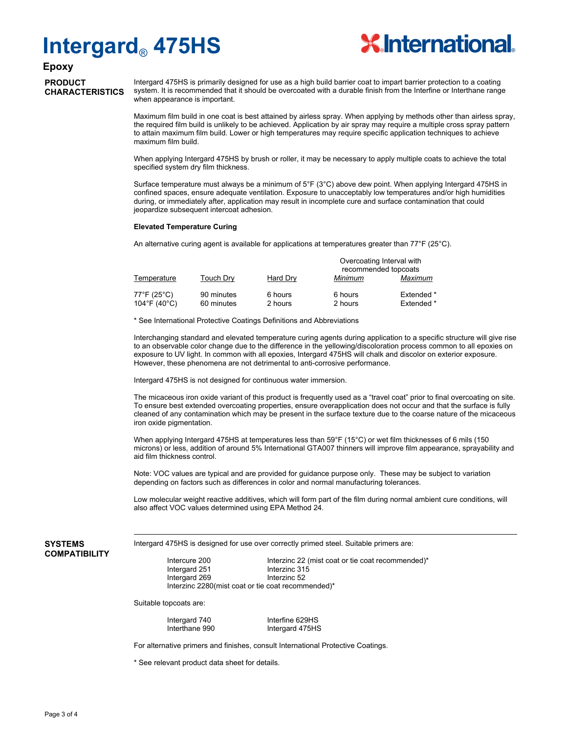

# **Epoxy**

# **PRODUCT CHARACTERISTICS**

Intergard 475HS is primarily designed for use as a high build barrier coat to impart barrier protection to a coating system. It is recommended that it should be overcoated with a durable finish from the Interfine or Interthane range when appearance is important.

Maximum film build in one coat is best attained by airless spray. When applying by methods other than airless spray, the required film build is unlikely to be achieved. Application by air spray may require a multiple cross spray pattern to attain maximum film build. Lower or high temperatures may require specific application techniques to achieve maximum film build.

When applying Intergard 475HS by brush or roller, it may be necessary to apply multiple coats to achieve the total specified system dry film thickness.

Surface temperature must always be a minimum of 5°F (3°C) above dew point. When applying Intergard 475HS in confined spaces, ensure adequate ventilation. Exposure to unacceptably low temperatures and/or high humidities during, or immediately after, application may result in incomplete cure and surface contamination that could jeopardize subsequent intercoat adhesion.

#### **Elevated Temperature Curing**

An alternative curing agent is available for applications at temperatures greater than 77°F (25°C).

|                             |                          |                    | Overcoating Interval with<br>recommended topcoats |                          |  |
|-----------------------------|--------------------------|--------------------|---------------------------------------------------|--------------------------|--|
| Temperature                 | Touch Dry                | Hard Dry           | Minimum                                           | Maximum                  |  |
| 77°F (25°C)<br>104°F (40°C) | 90 minutes<br>60 minutes | 6 hours<br>2 hours | 6 hours<br>2 hours                                | Extended *<br>Extended * |  |

\* See International Protective Coatings Definitions and Abbreviations

Interchanging standard and elevated temperature curing agents during application to a specific structure will give rise to an observable color change due to the difference in the yellowing/discoloration process common to all epoxies on exposure to UV light. In common with all epoxies, Intergard 475HS will chalk and discolor on exterior exposure. However, these phenomena are not detrimental to anti-corrosive performance.

Intergard 475HS is not designed for continuous water immersion.

The micaceous iron oxide variant of this product is frequently used as a "travel coat" prior to final overcoating on site. To ensure best extended overcoating properties, ensure overapplication does not occur and that the surface is fully cleaned of any contamination which may be present in the surface texture due to the coarse nature of the micaceous iron oxide pigmentation.

When applying Intergard 475HS at temperatures less than 59°F (15°C) or wet film thicknesses of 6 mils (150 microns) or less, addition of around 5% International GTA007 thinners will improve film appearance, sprayability and aid film thickness control.

Note: VOC values are typical and are provided for guidance purpose only. These may be subject to variation depending on factors such as differences in color and normal manufacturing tolerances.

Low molecular weight reactive additives, which will form part of the film during normal ambient cure conditions, will also affect VOC values determined using EPA Method 24.

#### **SYSTEMS COMPATIBILITY**

Intergard 475HS is designed for use over correctly primed steel. Suitable primers are:

Intercure 200 Interzinc 22 (mist coat or tie coat recommended)\* Intergard 251 Interzinc 315 Intergard 269 Interzinc 52 Interzinc 2280(mist coat or tie coat recommended)\*

Suitable topcoats are:

Intergard 740 Interfine 629HS Interthane 990 Intergard 475HS

For alternative primers and finishes, consult International Protective Coatings.

\* See relevant product data sheet for details.